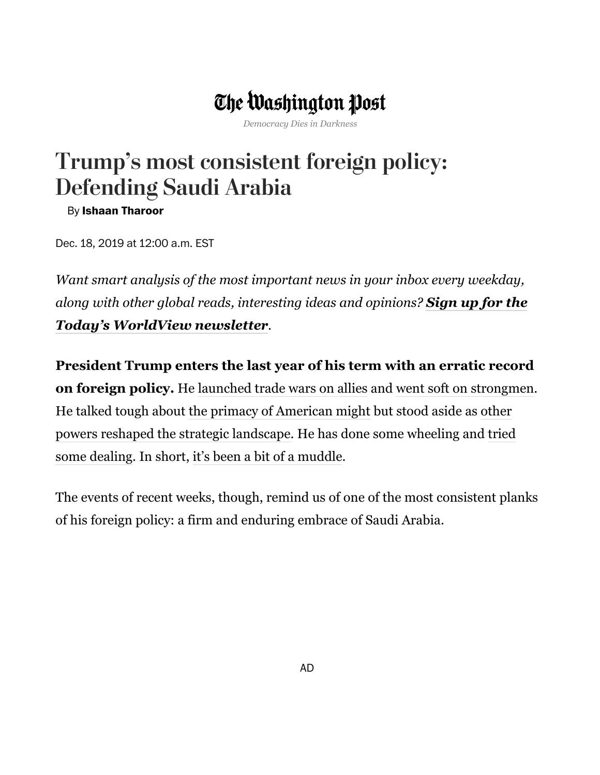## The Washington Post

*Democracy Dies in Darkness*

## Trump's most consistent foreign policy: Defending Saudi Arabia

By **Ishaan [Tharoor](https://www.washingtonpost.com/people/ishaan-tharoor/)**

Dec. 18, 2019 at 12:00 a.m. EST

*Want smart analysis of the most important news in your inbox every weekday, [along with other global reads, interesting ideas and opinions?](https://subscribe.washingtonpost.com/newsletters/#/bundle/todaysworldview?method=SURL&location=ART&tid=lk_inline_manual_1&tid=lk_inline_manual_1&tid=lk_inline_manual_1&tid=lk_inline_manual_1&tid=lk_inline_manual_1&tid=lk_inline_manual_1&tid=lk_inline_manual_1&tid=lk_inline_manual_1&tid=lk_inline_manual_1&tid=lk_inline_manual_1&tid=lk_inline_manual_1&tid=lk_inline_manual_1&tid=lk_inline_manual_1&tid=lk_inline_manual_1&tid=lk_inline_manual_1&tid=lk_inline_manual_1&tid=lk_inline_manual_1&tid=lk_inline_manual_1&tid=lk_inline_manual_1&tid=lk_inline_manual_1&tid=lk_inline_manual_1&tid=lk_inline_manual_25&tid=lk_inline_manual_1&tid=lk_inline_manual_1&tid=lk_inline_manual_1&tid=lk_inline_manual_1&tid=lk_inline_manual_1&tid=lk_inline_manual_1&itid=lk_inline_manual_1) Sign up for the Today's WorldView newsletter.*

**President Trump enters the last year of his term with an erratic record on foreign policy.** He [launched trade wars on allies](https://www.washingtonpost.com/world/2019/02/01/trumps-new-conflict-with-europe/?arc404=true&tid=lk_inline_manual_3&itid=lk_inline_manual_3) and [went soft on strongmen](https://www.washingtonpost.com/world/2019/11/13/an-embattled-trump-welcomes-an-embittered-erdogan/?tid=lk_inline_manual_3&itid=lk_inline_manual_3). [He talked tough about](https://www.washingtonpost.com/world/2019/10/08/trump-sells-out-kurds-his-own-unique-way/?tid=lk_inline_manual_3&itid=lk_inline_manual_3) [the primacy of American might](https://www.washingtonpost.com/world/2019/10/11/trump-may-be-against-forever-wars-hes-no-dove/?tid=lk_inline_manual_3&itid=lk_inline_manual_3) [but stood aside as other](https://www.washingtonpost.com/world/2019/10/08/trump-sells-out-kurds-his-own-unique-way/?tid=lk_inline_manual_3&itid=lk_inline_manual_3) [powers reshaped the strategic landscape. He has done some wheeling and tried](https://www.washingtonpost.com/world/2019/12/09/trump-is-running-out-time-make-his-deals/?tid=lk_inline_manual_3&itid=lk_inline_manual_3) some dealing. In short, [it's been a bit of a muddle](https://www.washingtonpost.com/world/2019/06/21/trumps-maximum-pressure-tactics-are-incoherent/?tid=lk_inline_manual_3&itid=lk_inline_manual_3).

The events of recent weeks, though, remind us of one of the most consistent planks of his foreign policy: a firm and enduring embrace of Saudi Arabia.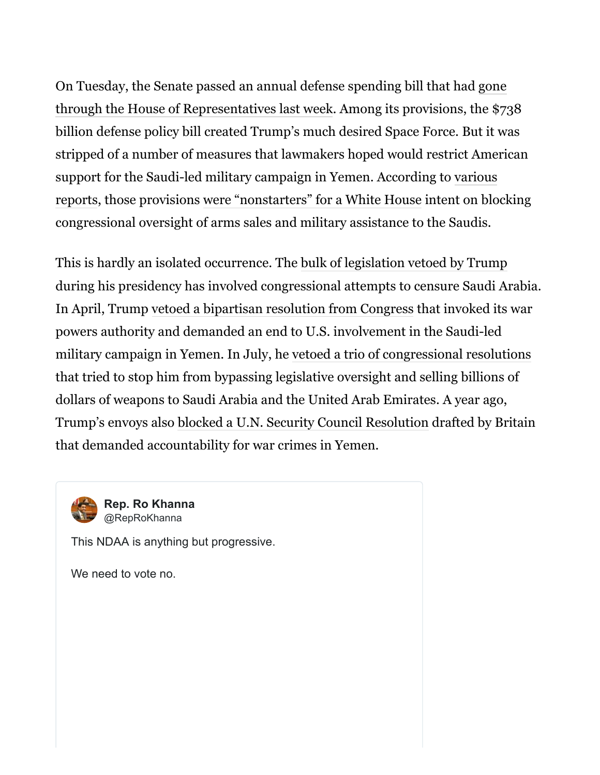[On Tuesday, the Senate passed an annual defense spending bill that had gone](https://www.washingtonpost.com/world/national-security/trump-signals-intent-to-sign-738-billion-national-defense-policy-bill/2019/12/11/50e6d994-1c3e-11ea-9ddd-3e0321c180e7_story.html?tid=lk_inline_manual_6&itid=lk_inline_manual_6) through the House of Representatives last week. Among its provisions, the \$738 billion defense policy bill created Trump's much desired Space Force. But it was stripped of a number of measures that lawmakers hoped would restrict American support for the Saudi-led military campaign in Yemen. According to various [reports, those provisions were "nonstarters" for a White House intent on blo](https://www.cnn.com/2019/12/13/politics/saudi-ndaa-white-house-republicans/index.html)cking congressional oversight of arms sales and military assistance to the Saudis.

This is hardly an isolated occurrence. The [bulk of legislation vetoed by Trump](https://www.senate.gov/legislative/vetoes/TrumpDJ.htm) during his presidency has involved congressional attempts to censure Saudi Arabia. In April, Trump [vetoed a bipartisan resolution from Congress](https://www.washingtonpost.com/politics/trump-vetoes-resolution-to-end-us-participation-in-yemens-civil-war/2019/04/16/0fabc312-60a1-11e9-bfad-36a7eb36cb60_story.html?tid=lk_inline_manual_8&itid=lk_inline_manual_8) that invoked its war powers authority and demanded an end to U.S. involvement in the Saudi-led military campaign in Yemen. In July, he [vetoed a trio of congressional resolutions](https://www.nbcnews.com/politics/donald-trump/trump-vetoes-congressional-effort-block-saudi-arms-sales-n1034286) that tried to stop him from bypassing legislative oversight and selling billions of dollars of weapons to Saudi Arabia and the United Arab Emirates. A year ago, Trump's envoys also [blocked a U.N. Security Council Resolution](https://www.theguardian.com/world/2018/dec/21/un-yemen-ceasfire-stockholm-resolution-us) drafted by Britain that demanded accountability for war crimes in Yemen.

**[Rep. Ro Khanna](https://twitter.com/RepRoKhanna)** @RepRoKhanna

This NDAA is anything but progressive.

We need to vote no.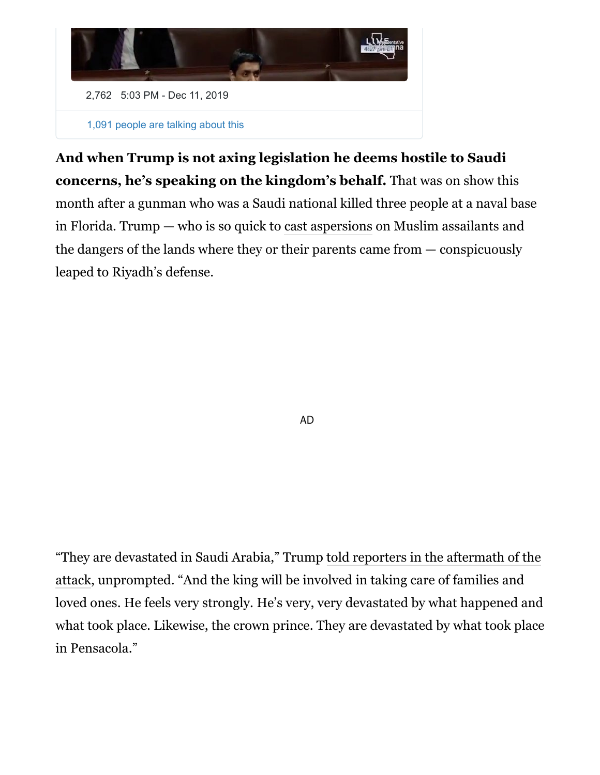

**And when Trump is not axing legislation he deems hostile to Saudi concerns, he's speaking on the kingdom's behalf.** That was on show this month after a gunman who was a Saudi national killed three people at a naval base in Florida. Trump — who is so quick to [cast aspersions](https://www.washingtonpost.com/news/worldviews/wp/2017/06/05/trump-was-terrorized-by-the-london-attack-while-britain-stood-firm/?tid=lk_inline_manual_10&itid=lk_inline_manual_10) on Muslim assailants and the dangers of the lands where they or their parents came from — conspicuously leaped to Riyadh's defense.

AD

["They are devastated in Saudi Arabia," Trump told reporters in the aftermath of the](https://www.whitehouse.gov/briefings-statements/remarks-president-trump-marine-one-departure-79/) attack, unprompted. "And the king will be involved in taking care of families and loved ones. He feels very strongly. He's very, very devastated by what happened and what took place. Likewise, the crown prince. They are devastated by what took place in Pensacola."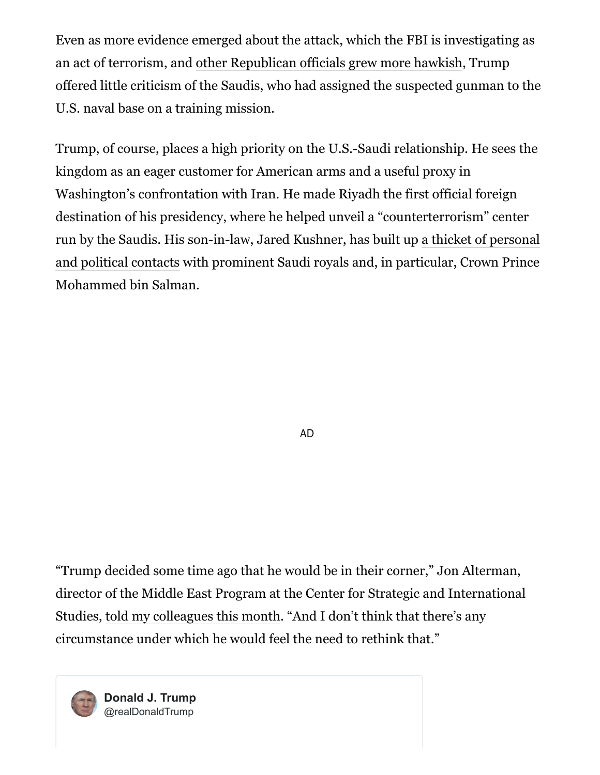Even as more evidence emerged about the attack, which the FBI is investigating as an act of terrorism, and [other Republican officials grew more hawkish](https://www.politico.com/states/florida/story/2019/12/08/florida-congressman-challenges-saudis-on-pensacola-shootings-1231152), Trump offered little criticism of the Saudis, who had assigned the suspected gunman to the U.S. naval base on a training mission.

Trump, of course, places a high priority on the U.S.-Saudi relationship. He sees the kingdom as an eager customer for American arms and a useful proxy in Washington's confrontation with Iran. He made Riyadh the first official foreign destination of his presidency, where he helped unveil a "counterterrorism" center [run by the Saudis. His son-in-law, Jared Kushner, has built up a thicket of personal](https://www.nytimes.com/2018/12/08/world/middleeast/saudi-mbs-jared-kushner.html) and political contacts with prominent Saudi royals and, in particular, Crown Prince Mohammed bin Salman.

AD

"Trump decided some time ago that he would be in their corner," Jon Alterman, director of the Middle East Program at the Center for Strategic and International Studies, [told my colleagues this month](https://www.washingtonpost.com/politics/trumps-defense-of-saudis-grows-more-isolated-after-deadly-shooting-on-military-base/2019/12/08/e680eed6-19f5-11ea-9ddd-3e0321c180e7_story.html?tid=lk_inline_manual_17&itid=lk_inline_manual_17). "And I don't think that there's any circumstance under which he would feel the need to rethink that."

**[Donald J. Trump](https://twitter.com/realDonaldTrump)** @realDonaldTrump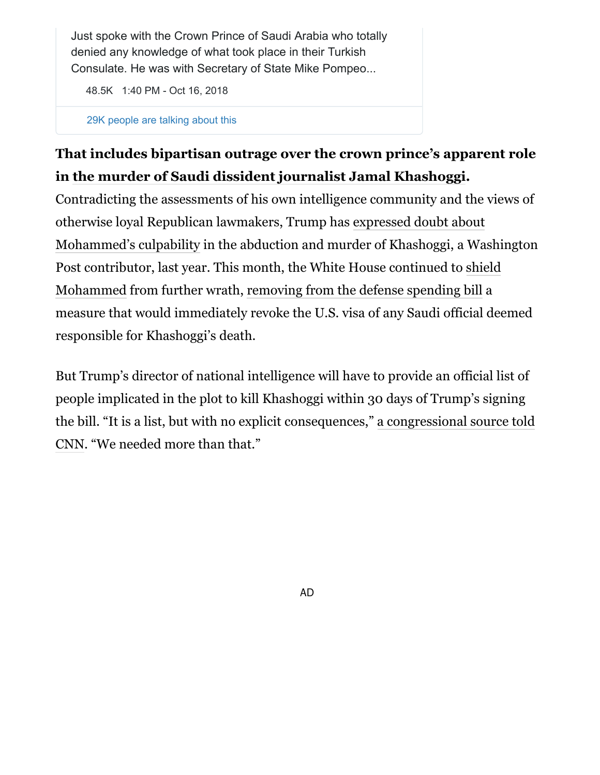Just spoke with the Crown Prince of Saudi Arabia who totally denied any knowledge of what took place in their Turkish Consulate. He was with Secretary of State Mike Pompeo...

[48.5K](https://twitter.com/intent/like?tweet_id=1052268011900555265) [1:40 PM - Oct 16, 2018](https://twitter.com/realDonaldTrump/status/1052268011900555265)

[29K people are talking about this](https://twitter.com/realDonaldTrump/status/1052268011900555265)

## **That includes bipartisan outrage over the crown prince's apparent role in [the murder of Saudi dissident journalist Jamal Khashoggi](https://www.washingtonpost.com/world/2019/10/02/jamal-khashoggi-is-dead-his-political-vision-lives/?tid=lk_inline_manual_20&itid=lk_inline_manual_20).**

Contradicting the assessments of his own intelligence community and the views of otherwise loyal Republican lawmakers, Trump has expressed doubt about [Mohammed's culpability in the abduction and murder of Khashoggi, a Wa](https://www.washingtonpost.com/world/2018/10/12/trump-chooses-arab-authoritarianism-over-jamal-khashoggi/?tid=lk_inline_manual_20&itid=lk_inline_manual_20)shington [Post contributor, last year. This month, the White House continued to shield](https://www.washingtonpost.com/world/2019/02/13/trump-shields-saudi-crown-prince/?tid=lk_inline_manual_20&itid=lk_inline_manual_20) Mohammed from further wrath, [removing from the defense spending bill](https://www.cnn.com/2019/12/13/politics/saudi-ndaa-white-house-republicans/index.html) a measure that would immediately revoke the U.S. visa of any Saudi official deemed responsible for Khashoggi's death.

But Trump's director of national intelligence will have to provide an official list of people implicated in the plot to kill Khashoggi within 30 days of Trump's signing [the bill. "It is a list, but with no explicit consequences," a congressional source told](https://www.cnn.com/2019/12/13/politics/saudi-ndaa-white-house-republicans/index.html) CNN. "We needed more than that."

AD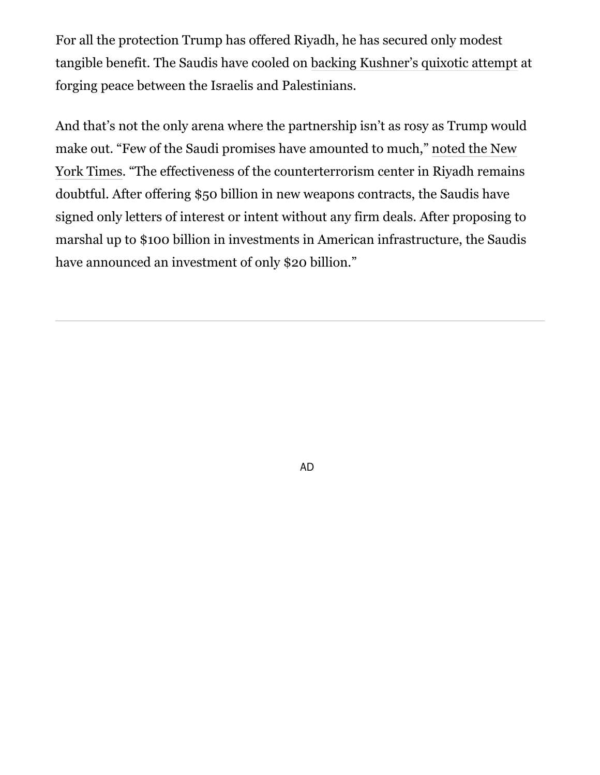For all the protection Trump has offered Riyadh, he has secured only modest tangible benefit. The Saudis have cooled on [backing Kushner's quixotic attempt](https://www.washingtonpost.com/world/2019/02/26/weeks-other-summit-kushner-meet-mbs/?tid=lk_inline_manual_23&itid=lk_inline_manual_23) at forging peace between the Israelis and Palestinians.

And that's not the only arena where the partnership isn't as rosy as Trump would make out. "Few of the Saudi promises have amounted to much," noted the New [York Times. "The effectiveness of the counterterrorism center in Riyadh remain](https://www.nytimes.com/2018/12/08/world/middleeast/saudi-mbs-jared-kushner.html)s doubtful. After offering \$50 billion in new weapons contracts, the Saudis have signed only letters of interest or intent without any firm deals. After proposing to marshal up to \$100 billion in investments in American infrastructure, the Saudis have announced an investment of only \$20 billion."

AD